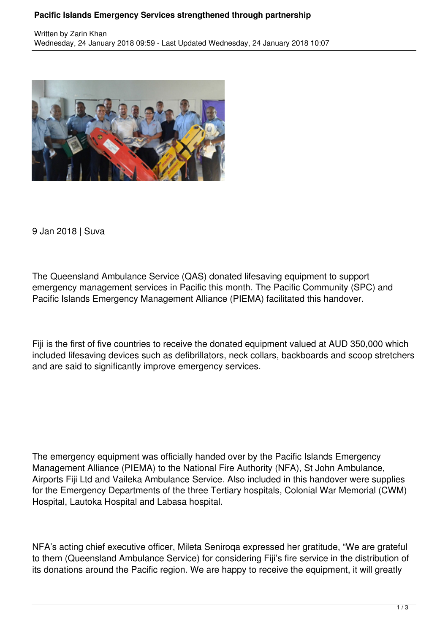## **Pacific Islands Emergency Services strengthened through partnership**



9 Jan 2018 | Suva

The Queensland Ambulance Service (QAS) donated lifesaving equipment to support emergency management services in Pacific this month. The Pacific Community (SPC) and Pacific Islands Emergency Management Alliance (PIEMA) facilitated this handover.

Fiji is the first of five countries to receive the donated equipment valued at AUD 350,000 which included lifesaving devices such as defibrillators, neck collars, backboards and scoop stretchers and are said to significantly improve emergency services.

The emergency equipment was officially handed over by the Pacific Islands Emergency Management Alliance (PIEMA) to the National Fire Authority (NFA), St John Ambulance, Airports Fiji Ltd and Vaileka Ambulance Service. Also included in this handover were supplies for the Emergency Departments of the three Tertiary hospitals, Colonial War Memorial (CWM) Hospital, Lautoka Hospital and Labasa hospital.

NFA's acting chief executive officer, Mileta Seniroqa expressed her gratitude, "We are grateful to them (Queensland Ambulance Service) for considering Fiji's fire service in the distribution of its donations around the Pacific region. We are happy to receive the equipment, it will greatly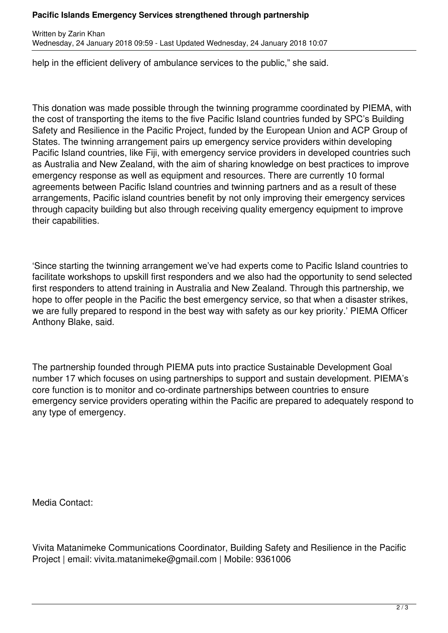## **Pacific Islands Emergency Services strengthened through partnership**

Written by Zarin Khan Wednesday, 24 January 2018 09:59 - Last Updated Wednesday, 24 January 2018 10:07

help in the efficient delivery of ambulance services to the public," she said.

This donation was made possible through the twinning programme coordinated by PIEMA, with the cost of transporting the items to the five Pacific Island countries funded by SPC's Building Safety and Resilience in the Pacific Project, funded by the European Union and ACP Group of States. The twinning arrangement pairs up emergency service providers within developing Pacific Island countries, like Fiji, with emergency service providers in developed countries such as Australia and New Zealand, with the aim of sharing knowledge on best practices to improve emergency response as well as equipment and resources. There are currently 10 formal agreements between Pacific Island countries and twinning partners and as a result of these arrangements, Pacific island countries benefit by not only improving their emergency services through capacity building but also through receiving quality emergency equipment to improve their capabilities.

'Since starting the twinning arrangement we've had experts come to Pacific Island countries to facilitate workshops to upskill first responders and we also had the opportunity to send selected first responders to attend training in Australia and New Zealand. Through this partnership, we hope to offer people in the Pacific the best emergency service, so that when a disaster strikes, we are fully prepared to respond in the best way with safety as our key priority.' PIEMA Officer Anthony Blake, said.

The partnership founded through PIEMA puts into practice Sustainable Development Goal number 17 which focuses on using partnerships to support and sustain development. PIEMA's core function is to monitor and co-ordinate partnerships between countries to ensure emergency service providers operating within the Pacific are prepared to adequately respond to any type of emergency.

Media Contact:

Vivita Matanimeke Communications Coordinator, Building Safety and Resilience in the Pacific Project | email: vivita.matanimeke@gmail.com | Mobile: 9361006